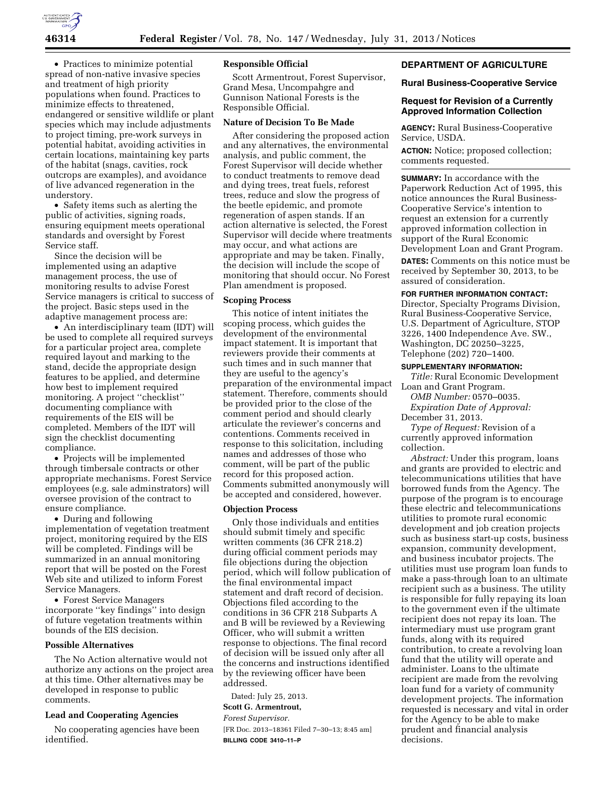

• Practices to minimize potential spread of non-native invasive species and treatment of high priority populations when found. Practices to minimize effects to threatened, endangered or sensitive wildlife or plant species which may include adjustments to project timing, pre-work surveys in potential habitat, avoiding activities in certain locations, maintaining key parts of the habitat (snags, cavities, rock outcrops are examples), and avoidance of live advanced regeneration in the understory.

• Safety items such as alerting the public of activities, signing roads, ensuring equipment meets operational standards and oversight by Forest Service staff.

Since the decision will be implemented using an adaptive management process, the use of monitoring results to advise Forest Service managers is critical to success of the project. Basic steps used in the adaptive management process are:

• An interdisciplinary team (IDT) will be used to complete all required surveys for a particular project area, complete required layout and marking to the stand, decide the appropriate design features to be applied, and determine how best to implement required monitoring. A project ''checklist'' documenting compliance with requirements of the EIS will be completed. Members of the IDT will sign the checklist documenting compliance.

• Projects will be implemented through timbersale contracts or other appropriate mechanisms. Forest Service employees (e.g. sale adminstrators) will oversee provision of the contract to ensure compliance.

• During and following implementation of vegetation treatment project, monitoring required by the EIS will be completed. Findings will be summarized in an annual monitoring report that will be posted on the Forest Web site and utilized to inform Forest Service Managers.

• Forest Service Managers incorporate ''key findings'' into design of future vegetation treatments within bounds of the EIS decision.

## **Possible Alternatives**

The No Action alternative would not authorize any actions on the project area at this time. Other alternatives may be developed in response to public comments.

### **Lead and Cooperating Agencies**

No cooperating agencies have been identified.

## **Responsible Official**

Scott Armentrout, Forest Supervisor, Grand Mesa, Uncompahgre and Gunnison National Forests is the Responsible Official.

## **Nature of Decision To Be Made**

After considering the proposed action and any alternatives, the environmental analysis, and public comment, the Forest Supervisor will decide whether to conduct treatments to remove dead and dying trees, treat fuels, reforest trees, reduce and slow the progress of the beetle epidemic, and promote regeneration of aspen stands. If an action alternative is selected, the Forest Supervisor will decide where treatments may occur, and what actions are appropriate and may be taken. Finally, the decision will include the scope of monitoring that should occur. No Forest Plan amendment is proposed.

#### **Scoping Process**

This notice of intent initiates the scoping process, which guides the development of the environmental impact statement. It is important that reviewers provide their comments at such times and in such manner that they are useful to the agency's preparation of the environmental impact statement. Therefore, comments should be provided prior to the close of the comment period and should clearly articulate the reviewer's concerns and contentions. Comments received in response to this solicitation, including names and addresses of those who comment, will be part of the public record for this proposed action. Comments submitted anonymously will be accepted and considered, however.

### **Objection Process**

Only those individuals and entities should submit timely and specific written comments (36 CFR 218.2) during official comment periods may file objections during the objection period, which will follow publication of the final environmental impact statement and draft record of decision. Objections filed according to the conditions in 36 CFR 218 Subparts A and B will be reviewed by a Reviewing Officer, who will submit a written response to objections. The final record of decision will be issued only after all the concerns and instructions identified by the reviewing officer have been addressed.

Dated: July 25, 2013.

#### **Scott G. Armentrout,**

*Forest Supervisor.* 

[FR Doc. 2013–18361 Filed 7–30–13; 8:45 am] **BILLING CODE 3410–11–P** 

## **DEPARTMENT OF AGRICULTURE**

### **Rural Business-Cooperative Service**

## **Request for Revision of a Currently Approved Information Collection**

**AGENCY:** Rural Business-Cooperative Service, USDA.

**ACTION:** Notice; proposed collection; comments requested.

**SUMMARY:** In accordance with the Paperwork Reduction Act of 1995, this notice announces the Rural Business-Cooperative Service's intention to request an extension for a currently approved information collection in support of the Rural Economic Development Loan and Grant Program.

**DATES:** Comments on this notice must be received by September 30, 2013, to be assured of consideration.

### **FOR FURTHER INFORMATION CONTACT:**

Director, Specialty Programs Division, Rural Business-Cooperative Service, U.S. Department of Agriculture, STOP 3226, 1400 Independence Ave. SW., Washington, DC 20250–3225, Telephone (202) 720–1400.

## **SUPPLEMENTARY INFORMATION:**

*Title:* Rural Economic Development Loan and Grant Program.

*OMB Number:* 0570–0035.

*Expiration Date of Approval:*  December 31, 2013.

*Type of Request:* Revision of a currently approved information collection.

*Abstract:* Under this program, loans and grants are provided to electric and telecommunications utilities that have borrowed funds from the Agency. The purpose of the program is to encourage these electric and telecommunications utilities to promote rural economic development and job creation projects such as business start-up costs, business expansion, community development, and business incubator projects. The utilities must use program loan funds to make a pass-through loan to an ultimate recipient such as a business. The utility is responsible for fully repaying its loan to the government even if the ultimate recipient does not repay its loan. The intermediary must use program grant funds, along with its required contribution, to create a revolving loan fund that the utility will operate and administer. Loans to the ultimate recipient are made from the revolving loan fund for a variety of community development projects. The information requested is necessary and vital in order for the Agency to be able to make prudent and financial analysis decisions.